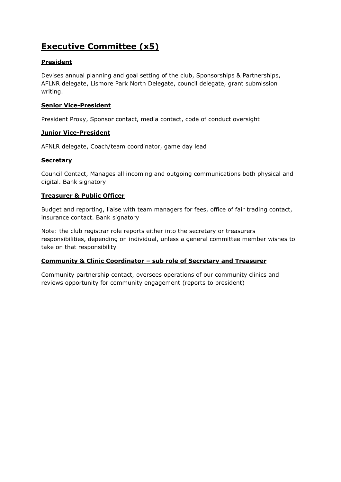# **Executive Committee (x5)**

# **President**

Devises annual planning and goal setting of the club, Sponsorships & Partnerships, AFLNR delegate, Lismore Park North Delegate, council delegate, grant submission writing.

## **Senior Vice-President**

President Proxy, Sponsor contact, media contact, code of conduct oversight

## **Junior Vice-President**

AFNLR delegate, Coach/team coordinator, game day lead

## **Secretary**

Council Contact, Manages all incoming and outgoing communications both physical and digital. Bank signatory

## **Treasurer & Public Officer**

Budget and reporting, liaise with team managers for fees, office of fair trading contact, insurance contact. Bank signatory

Note: the club registrar role reports either into the secretary or treasurers responsibilities, depending on individual, unless a general committee member wishes to take on that responsibility

### **Community & Clinic Coordinator – sub role of Secretary and Treasurer**

Community partnership contact, oversees operations of our community clinics and reviews opportunity for community engagement (reports to president)